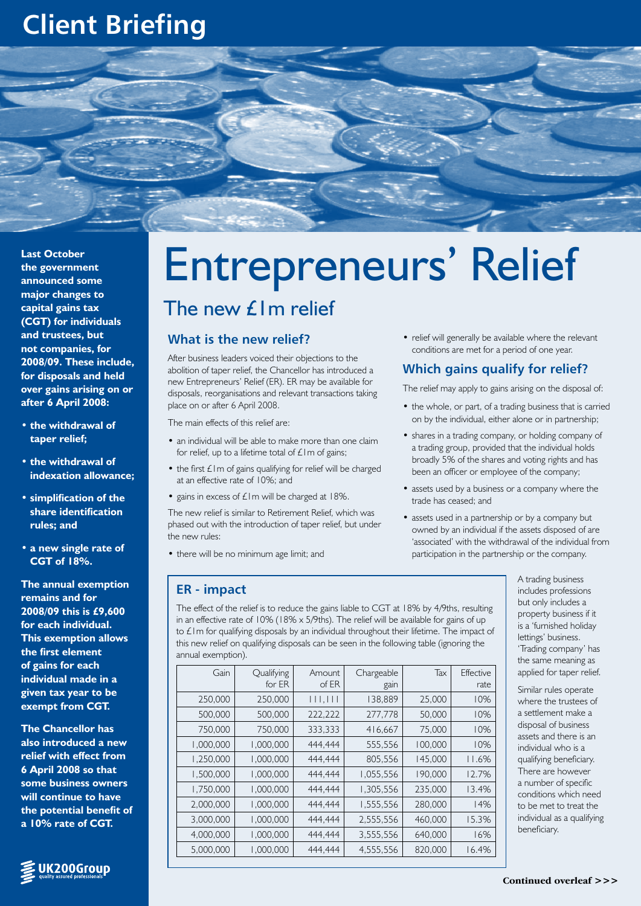# **Client Briefing**



**Last October the government announced some major changes to capital gains tax (CGT) for individuals and trustees, but not companies, for 2008/09. These include, for disposals and held over gains arising on or after 6 April 2008:**

- **• the withdrawal of taper relief;**
- **• the withdrawal of indexation allowance;**
- **• simplification of the share identification rules; and**
- **• a new single rate of CGT of 18%.**

**The annual exemption remains and for 2008/09 this is £9,600 for each individual. This exemption allows the first element of gains for each individual made in a given tax year to be exempt from CGT.**

**The Chancellor has also introduced a new relief with effect from 6 April 2008 so that some business owners will continue to have the potential benefit of a 10% rate of CGT.** 



# Entrepreneurs' Relief The new £1m relief

# **What is the new relief?**

After business leaders voiced their objections to the abolition of taper relief, the Chancellor has introduced a new Entrepreneurs' Relief (ER). ER may be available for disposals, reorganisations and relevant transactions taking place on or after 6 April 2008.

The main effects of this relief are:

- an individual will be able to make more than one claim for relief, up to a lifetime total of  $£1m$  of gains;
- $\bullet$  the first  $\pm 1$ m of gains qualifying for relief will be charged at an effective rate of 10%; and
- gains in excess of  $£1m$  will be charged at  $18\%$ .

The new relief is similar to Retirement Relief, which was phased out with the introduction of taper relief, but under the new rules:

• there will be no minimum age limit; and

### **ER - impact**

• relief will generally be available where the relevant conditions are met for a period of one year.

# **Which gains qualify for relief?**

The relief may apply to gains arising on the disposal of:

- the whole, or part, of a trading business that is carried on by the individual, either alone or in partnership;
- shares in a trading company, or holding company of a trading group, provided that the individual holds broadly 5% of the shares and voting rights and has been an officer or employee of the company;
- assets used by a business or a company where the trade has ceased; and
- assets used in a partnership or by a company but owned by an individual if the assets disposed of are 'associated' with the withdrawal of the individual from participation in the partnership or the company.

A trading business includes professions but only includes a property business if it is a 'furnished holiday lettings' business. 'Trading company' has the same meaning as applied for taper relief.

Similar rules operate where the trustees of a settlement make a disposal of business assets and there is an individual who is a qualifying beneficiary. There are however a number of specific conditions which need to be met to treat the individual as a qualifying beneficiary.

The effect of the relief is to reduce the gains liable to CGT at 18% by 4/9ths, resulting in an effective rate of 10% (18%  $\times$  5/9ths). The relief will be available for gains of up to £1m for qualifying disposals by an individual throughout their lifetime. The impact of this new relief on qualifying disposals can be seen in the following table (ignoring the annual exemption).

| Gain      | Qualifying<br>for ER | Amount<br>of ER | Chargeable<br>gain | Tax     | Effective<br>rate |
|-----------|----------------------|-----------------|--------------------|---------|-------------------|
| 250,000   | 250,000              | 111,111         | 138,889            | 25,000  | 10%               |
| 500,000   | 500,000              | 222,222         | 277,778            | 50,000  | 10%               |
| 750,000   | 750,000              | 333,333         | 416,667            | 75,000  | 10%               |
| 1,000,000 | 000,000,1            | 444,444         | 555,556            | 100,000 | 10%               |
| 1,250,000 | 000,000,1            | 444.444         | 805,556            | 145,000 | 11.6%             |
| 1,500,000 | 000,000,1            | 444,444         | 1,055,556          | 190,000 | 12.7%             |
| 1,750,000 | 000,000,1            | 444,444         | 1,305,556          | 235,000 | 13.4%             |
| 2,000,000 | 000,000,1            | 444,444         | 1,555,556          | 280,000 | 14%               |
| 3,000,000 | 000,000,1            | 444.444         | 2,555,556          | 460,000 | 15.3%             |
| 4,000,000 | 000,000,1            | 444,444         | 3,555,556          | 640,000 | 16%               |
| 5,000,000 | 000,000,1            | 444.444         | 4,555,556          | 820,000 | 16.4%             |